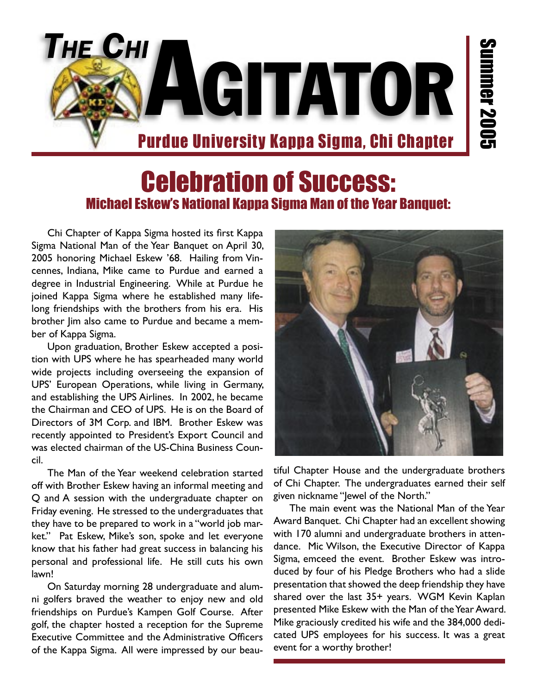

### Celebration of Success: Michael Eskew's National Kappa Sigma Man of the Year Banquet:

Chi Chapter of Kappa Sigma hosted its first Kappa Sigma National Man of the Year Banquet on April 30, 2005 honoring Michael Eskew '68. Hailing from Vincennes, Indiana, Mike came to Purdue and earned a degree in Industrial Engineering. While at Purdue he joined Kappa Sigma where he established many lifelong friendships with the brothers from his era. His brother Jim also came to Purdue and became a member of Kappa Sigma.

 Upon graduation, Brother Eskew accepted a position with UPS where he has spearheaded many world wide projects including overseeing the expansion of UPS' European Operations, while living in Germany, and establishing the UPS Airlines. In 2002, he became the Chairman and CEO of UPS. He is on the Board of Directors of 3M Corp. and IBM. Brother Eskew was recently appointed to President's Export Council and was elected chairman of the US-China Business Council.

 The Man of the Year weekend celebration started off with Brother Eskew having an informal meeting and Q and A session with the undergraduate chapter on Friday evening. He stressed to the undergraduates that they have to be prepared to work in a "world job market." Pat Eskew, Mike's son, spoke and let everyone know that his father had great success in balancing his personal and professional life. He still cuts his own lawn!

 On Saturday morning 28 undergraduate and alumni golfers braved the weather to enjoy new and old friendships on Purdue's Kampen Golf Course. After golf, the chapter hosted a reception for the Supreme Executive Committee and the Administrative Officers of the Kappa Sigma. All were impressed by our beau-



tiful Chapter House and the undergraduate brothers of Chi Chapter. The undergraduates earned their self given nickname "Jewel of the North."

 The main event was the National Man of the Year Award Banquet. Chi Chapter had an excellent showing with 170 alumni and undergraduate brothers in attendance. Mic Wilson, the Executive Director of Kappa Sigma, emceed the event. Brother Eskew was introduced by four of his Pledge Brothers who had a slide presentation that showed the deep friendship they have shared over the last 35+ years. WGM Kevin Kaplan presented Mike Eskew with the Man of the Year Award. Mike graciously credited his wife and the 384,000 dedicated UPS employees for his success. It was a great event for a worthy brother!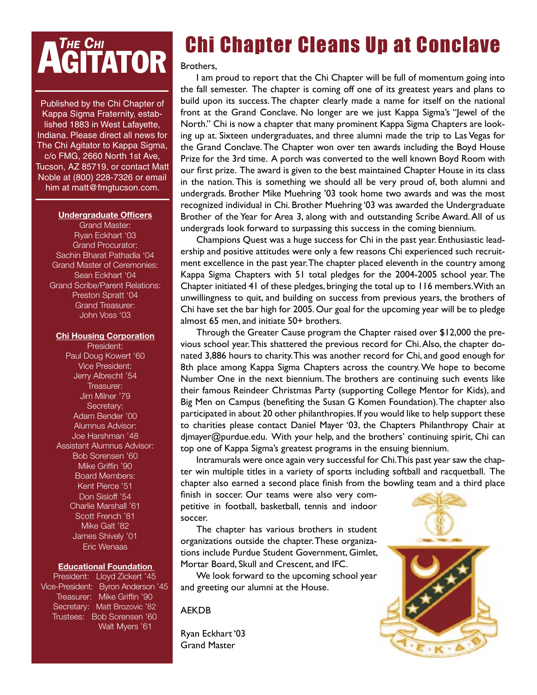# **AGITATOR**

Published by the Chi Chapter of Kappa Sigma Fraternity, established 1883 in West Lafayette, Indiana. Please direct all news for The Chi Agitator to Kappa Sigma, c/o FMG, 2660 North 1st Ave, Tucson, AZ 85719, or contact Matt Noble at (800) 228-7326 or email him at matt@fmgtucson.com.

#### **Undergraduate Officers**

Grand Master: Ryan Eckhart '03 Grand Procurator: Sachin Bharat Pathadia '04 Grand Master of Ceremonies: Sean Eckhart '04 Grand Scribe/Parent Relations: Preston Spratt '04 Grand Treasurer: John Voss '03

#### **Chi Housing Corporation**

President: Paul Doug Kowert '60 Vice President: Jerry Albrecht '54 Treasurer: Jim Milner '79 Secretary: Adam Bender '00 Alumnus Advisor: Joe Harshman '48 Assistant Alumnus Advisor: Bob Sorensen '60 Mike Griffin '90 Board Members: Kent Pierce '51 Don Sisloff '54 Charlie Marshall '61 Scott French '81 Mike Galt '82 James Shively '01 Eric Wenaas

#### **Educational Foundation**

President: Lloyd Zickert '45 Vice-President: Byron Anderson '45 Treasurer: Mike Griffin '90 Secretary: Matt Brozovic '82 Trustees: Bob Sorensen '60 Walt Myers '61

## **Chi Chapter Cleans Up at Conclave**

#### Brothers,

 I am proud to report that the Chi Chapter will be full of momentum going into the fall semester. The chapter is coming off one of its greatest years and plans to build upon its success. The chapter clearly made a name for itself on the national front at the Grand Conclave. No longer are we just Kappa Sigma's "Jewel of the North." Chi is now a chapter that many prominent Kappa Sigma Chapters are looking up at. Sixteen undergraduates, and three alumni made the trip to Las Vegas for the Grand Conclave. The Chapter won over ten awards including the Boyd House Prize for the 3rd time. A porch was converted to the well known Boyd Room with our first prize. The award is given to the best maintained Chapter House in its class in the nation. This is something we should all be very proud of, both alumni and undergrads. Brother Mike Muehring '03 took home two awards and was the most recognized individual in Chi. Brother Muehring '03 was awarded the Undergraduate Brother of the Year for Area 3, along with and outstanding Scribe Award. All of us undergrads look forward to surpassing this success in the coming biennium.

 Champions Quest was a huge success for Chi in the past year. Enthusiastic leadership and positive attitudes were only a few reasons Chi experienced such recruitment excellence in the past year. The chapter placed eleventh in the country among Kappa Sigma Chapters with 51 total pledges for the 2004-2005 school year. The Chapter initiated 41 of these pledges, bringing the total up to 116 members. With an unwillingness to quit, and building on success from previous years, the brothers of Chi have set the bar high for 2005. Our goal for the upcoming year will be to pledge almost 65 men, and initiate 50+ brothers.

 Through the Greater Cause program the Chapter raised over \$12,000 the previous school year. This shattered the previous record for Chi. Also, the chapter donated 3,886 hours to charity. This was another record for Chi, and good enough for 8th place among Kappa Sigma Chapters across the country. We hope to become Number One in the next biennium. The brothers are continuing such events like their famous Reindeer Christmas Party (supporting College Mentor for Kids), and Big Men on Campus (benefiting the Susan G Komen Foundation). The chapter also participated in about 20 other philanthropies. If you would like to help support these to charities please contact Daniel Mayer '03, the Chapters Philanthropy Chair at djmayer@purdue.edu. With your help, and the brothers' continuing spirit, Chi can top one of Kappa Sigma's greatest programs in the ensuing biennium.

 Intramurals were once again very successful for Chi. This past year saw the chapter win multiple titles in a variety of sports including softball and racquetball. The chapter also earned a second place finish from the bowling team and a third place

finish in soccer. Our teams were also very comchapter also earned a second place finish from the<br>finish in soccer. Our teams were also very com-<br>petitive in football, basketball, tennis and indoor soccer.

 The chapter has various brothers in student organizations outside the chapter. These organizations include Purdue Student Government, Gimlet, Mortar Board, Skull and Crescent, and IFC.

 We look forward to the upcoming school year and greeting our alumni at the House.

**AFKDB** 

Ryan Eckhart '03 Grand Master

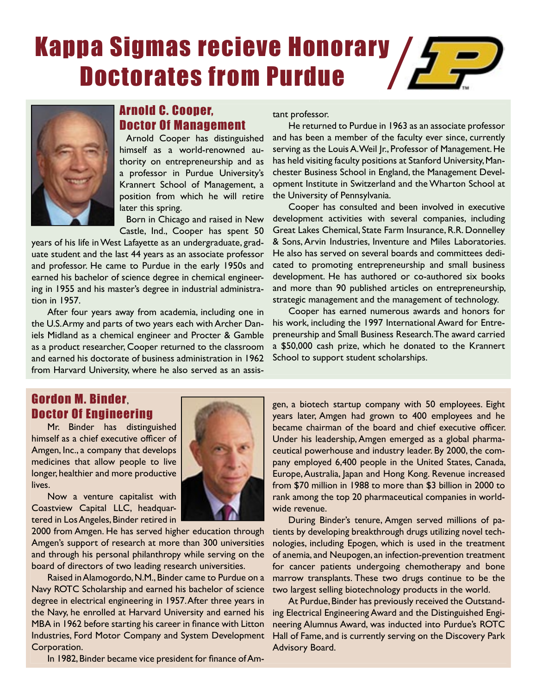# Kappa Sigmas recieve Honorary Doctorates from Purdue



### Arnold C. Cooper, Doctor Of Management

 Arnold Cooper has distinguished himself as a world-renowned authority on entrepreneurship and as a professor in Purdue University's Krannert School of Management, a position from which he will retire later this spring.

 Born in Chicago and raised in New Castle, Ind., Cooper has spent 50

years of his life in West Lafayette as an undergraduate, graduate student and the last 44 years as an associate professor and professor. He came to Purdue in the early 1950s and earned his bachelor of science degree in chemical engineering in 1955 and his master's degree in industrial administration in 1957.

 After four years away from academia, including one in the U.S. Army and parts of two years each with Archer Daniels Midland as a chemical engineer and Procter & Gamble as a product researcher, Cooper returned to the classroom and earned his doctorate of business administration in 1962 from Harvard University, where he also served as an assistant professor.

 He returned to Purdue in 1963 as an associate professor and has been a member of the faculty ever since, currently serving as the Louis A. Weil Jr., Professor of Management. He has held visiting faculty positions at Stanford University, Manchester Business School in England, the Management Development Institute in Switzerland and the Wharton School at the University of Pennsylvania.

 Cooper has consulted and been involved in executive development activities with several companies, including Great Lakes Chemical, State Farm Insurance, R.R. Donnelley & Sons, Arvin Industries, Inventure and Miles Laboratories. He also has served on several boards and committees dedicated to promoting entrepreneurship and small business development. He has authored or co-authored six books and more than 90 published articles on entrepreneurship, strategic management and the management of technology.

 Cooper has earned numerous awards and honors for his work, including the 1997 International Award for Entrepreneurship and Small Business Research. The award carried a \$50,000 cash prize, which he donated to the Krannert School to support student scholarships.

### Gordon M. Binder, Doctor Of Engineering

 Mr. Binder has distinguished himself as a chief executive officer of Amgen, Inc., a company that develops medicines that allow people to live longer, healthier and more productive lives.

 Now a venture capitalist with Coastview Capital LLC, headquartered in Los Angeles, Binder retired in

2000 from Amgen. He has served higher education through Amgen's support of research at more than 300 universities and through his personal philanthropy while serving on the board of directors of two leading research universities.

 Raised in Alamogordo, N.M., Binder came to Purdue on a Navy ROTC Scholarship and earned his bachelor of science degree in electrical engineering in 1957. After three years in the Navy, he enrolled at Harvard University and earned his MBA in 1962 before starting his career in finance with Litton Industries, Ford Motor Company and System Development Corporation.

In 1982, Binder became vice president for finance of Am-

gen, a biotech startup company with 50 employees. Eight years later, Amgen had grown to 400 employees and he became chairman of the board and chief executive officer. Under his leadership, Amgen emerged as a global pharmaceutical powerhouse and industry leader. By 2000, the company employed 6,400 people in the United States, Canada, Europe, Australia, Japan and Hong Kong. Revenue increased from \$70 million in 1988 to more than \$3 billion in 2000 to rank among the top 20 pharmaceutical companies in worldwide revenue.

 During Binder's tenure, Amgen served millions of patients by developing breakthrough drugs utilizing novel technologies, including Epogen, which is used in the treatment of anemia, and Neupogen, an infection-prevention treatment for cancer patients undergoing chemotherapy and bone marrow transplants. These two drugs continue to be the two largest selling biotechnology products in the world.

 At Purdue, Binder has previously received the Outstanding Electrical Engineering Award and the Distinguished Engineering Alumnus Award, was inducted into Purdue's ROTC Hall of Fame, and is currently serving on the Discovery Park Advisory Board.

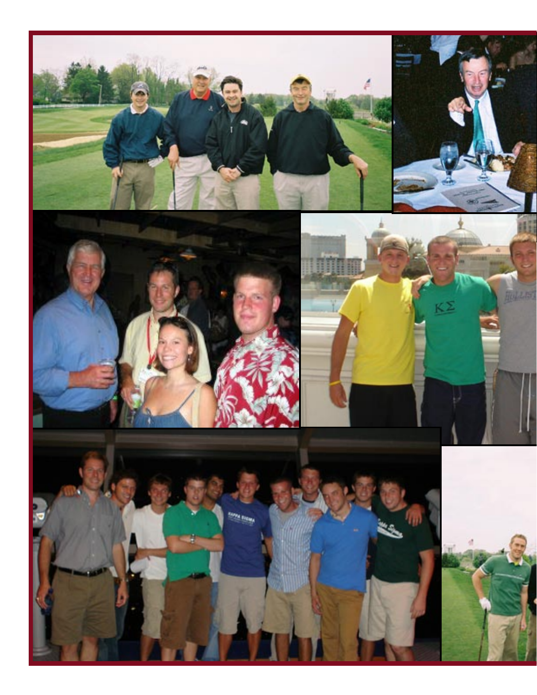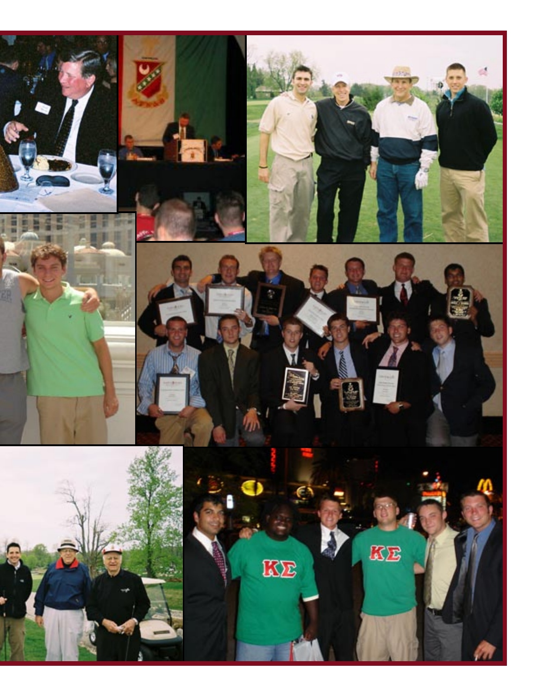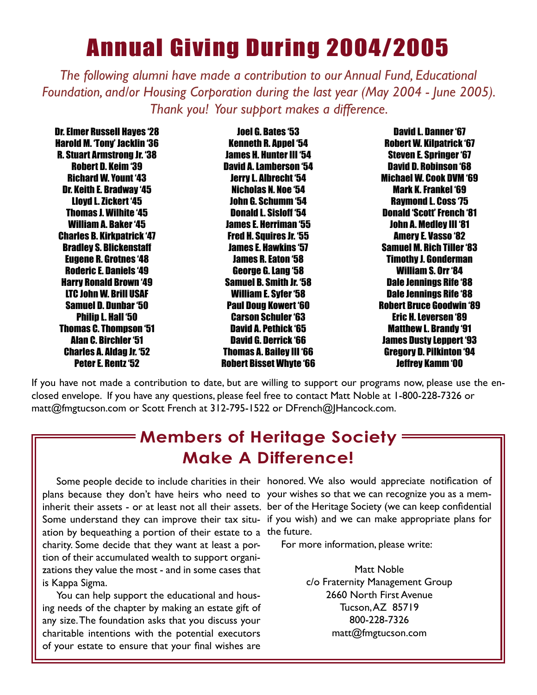# Annual Giving During 2004/2005

*The following alumni have made a contribution to our Annual Fund, Educational Foundation, and/or Housing Corporation during the last year (May 2004 - June 2005). Thank you! Your support makes a difference.*

Dr. Elmer Russell Hayes '28 Harold M. 'Tony' Jacklin '36 R. Stuart Armstrong Jr. '38 Robert D. Keim '39 Richard W. Yount '43 Dr. Keith E. Bradway '45 Lloyd L. Zickert '45 Thomas J. Wilhite '45 William A. Baker '45 Charles B. Kirkpatrick '47 Bradley S. Blickenstaff Eugene R. Grotnes '48 Roderic E. Daniels '49 Harry Ronald Brown '49 LTC John W. Brill USAF Samuel D. Dunbar '50 Philip L. Hall '50 Thomas C. Thompson '51 Alan C. Birchler '51 Charles A. Aldag Jr. '52 Peter E. Rentz '52

Joel G. Bates '53 Kenneth R. Appel '54 James H. Hunter III '54 David A. Lamberson '54 Jerry L. Albrecht '54 Nicholas N. Noe '54 John G. Schumm '54 Donald L. Sisloff '54 James E. Herriman '55 Fred H. Squires Jr. '55 James E. Hawkins '57 James R. Eaton '58 George G. Lang '58 Samuel B. Smith Jr. '58 William E. Syfer '58 Paul Doug Kowert '60 Carson Schuler '63 David A. Pethick '65 David G. Derrick '66 Thomas A. Bailey III '66 Robert Bisset Whyte '66

David L. Danner '67 Robert W. Kilpatrick '67 Steven E. Springer '67 David D. Robinson '68 Michael W. Cook DVM '69 Mark K. Frankel '69 Raymond L. Coss '75 Donald 'Scott' French '81 John A. Medley III '81 Amery E. Vasso '82 Samuel M. Rich Tiller '83 Timothy J. Gonderman William S. Orr '84 Dale Jennings Rife '88 Dale Jennings Rife '88 Robert Bruce Goodwin '89 Eric H. Leversen '89 Matthew L. Brandy '91 James Dusty Leppert '93 Gregory D. Pilkinton '94 Jeffrey Kamm '00

If you have not made a contribution to date, but are willing to support our programs now, please use the enclosed envelope. If you have any questions, please feel free to contact Matt Noble at 1-800-228-7326 or matt@fmgtucson.com or Scott French at 312-795-1522 or DFrench@JHancock.com.

### **Members of Heritage Society Make A Difference!**

ation by bequeathing a portion of their estate to a the future. charity. Some decide that they want at least a portion of their accumulated wealth to support organizations they value the most - and in some cases that is Kappa Sigma.

You can help support the educational and housing needs of the chapter by making an estate gift of any size. The foundation asks that you discuss your charitable intentions with the potential executors of your estate to ensure that your final wishes are

 Some people decide to include charities in their honored. We also would appreciate notification of plans because they don't have heirs who need to your wishes so that we can recognize you as a meminherit their assets - or at least not all their assets. ber of the Heritage Society (we can keep confidential Some understand they can improve their tax situ-if you wish) and we can make appropriate plans for

For more information, please write:

Matt Noble c/o Fraternity Management Group 2660 North First Avenue Tucson, AZ 85719 800-228-7326 matt@fmgtucson.com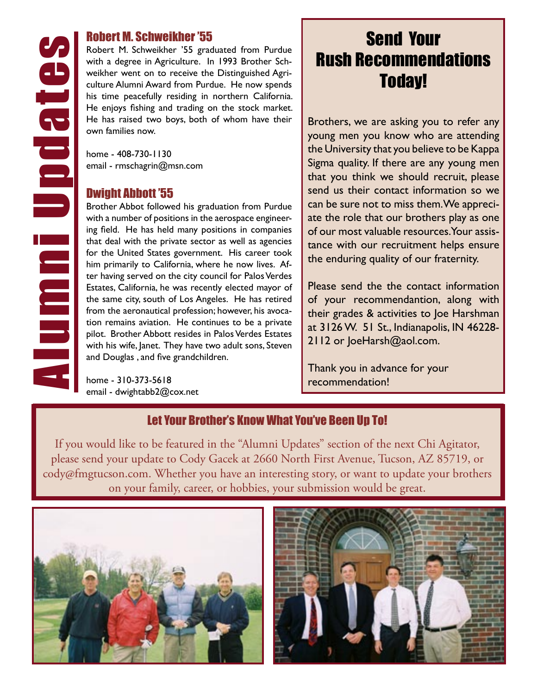### Robert M. Schweikher '55

Robert M. Schweikher '55 graduated from Purdue with a degree in Agriculture. In 1993 Brother Schweikher went on to receive the Distinguished Agriculture Alumni Award from Purdue. He now spends his time peacefully residing in northern California. He enjoys fishing and trading on the stock market. He has raised two boys, both of whom have their own families now.

home - 408-730-1130 email - rmschagrin@msn.com

### Dwight Abbott '55

Brother Abbot followed his graduation from Purdue with a number of positions in the aerospace engineering field. He has held many positions in companies that deal with the private sector as well as agencies for the United States government. His career took him primarily to California, where he now lives. After having served on the city council for Palos Verdes Estates, California, he was recently elected mayor of the same city, south of Los Angeles. He has retired from the aeronautical profession; however, his avocation remains aviation. He continues to be a private pilot. Brother Abbott resides in Palos Verdes Estates with his wife, Janet. They have two adult sons, Steven and Douglas , and five grandchildren.

home - 310-373-5618 email - dwightabb2@cox.net

### Send Your Rush Recommendations Today!

Brothers, we are asking you to refer any young men you know who are attending the University that you believe to be Kappa Sigma quality. If there are any young men that you think we should recruit, please send us their contact information so we can be sure not to miss them. We appreciate the role that our brothers play as one of our most valuable resources. Your assistance with our recruitment helps ensure the enduring quality of our fraternity.

Please send the the contact information of your recommendantion, along with their grades & activities to Joe Harshman at 3126 W. 51 St., Indianapolis, IN 46228- 2112 or JoeHarsh@aol.com.

Thank you in advance for your recommendation!

### Let Your Brother's Know What You've Been Up To!

If you would like to be featured in the "Alumni Updates" section of the next Chi Agitator, please send your update to Cody Gacek at 2660 North First Avenue, Tucson, AZ 85719, or cody@fmgtucson.com. Whether you have an interesting story, or want to update your brothers on your family, career, or hobbies, your submission would be great.